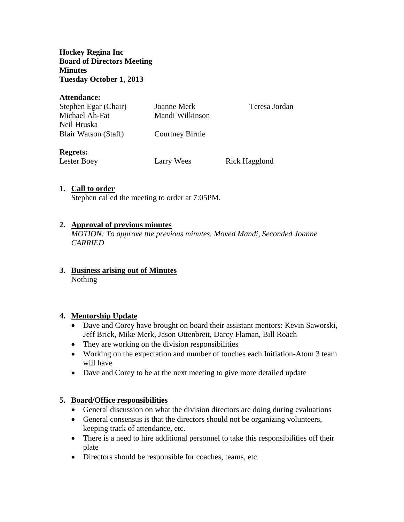**Hockey Regina Inc Board of Directors Meeting Minutes Tuesday October 1, 2013**

#### **Attendance:**

| Stephen Egar (Chair) | Joanne Merk            | Teresa Jordan |
|----------------------|------------------------|---------------|
| Michael Ah-Fat       | Mandi Wilkinson        |               |
| Neil Hruska          |                        |               |
| Blair Watson (Staff) | <b>Courtney Birnie</b> |               |
| <b>Regrets:</b>      |                        |               |
| Lester Boey          | Larry Wees             | Rick Hagglund |

### **1. Call to order**

Stephen called the meeting to order at 7:05PM.

### **2. Approval of previous minutes**

*MOTION: To approve the previous minutes. Moved Mandi, Seconded Joanne CARRIED*

**3. Business arising out of Minutes** Nothing

#### **4. Mentorship Update**

- Dave and Corey have brought on board their assistant mentors: Kevin Saworski, Jeff Brick, Mike Merk, Jason Ottenbreit, Darcy Flaman, Bill Roach
- They are working on the division responsibilities
- Working on the expectation and number of touches each Initiation-Atom 3 team will have
- Dave and Corey to be at the next meeting to give more detailed update

## **5. Board/Office responsibilities**

- General discussion on what the division directors are doing during evaluations
- General consensus is that the directors should not be organizing volunteers, keeping track of attendance, etc.
- There is a need to hire additional personnel to take this responsibilities off their plate
- Directors should be responsible for coaches, teams, etc.